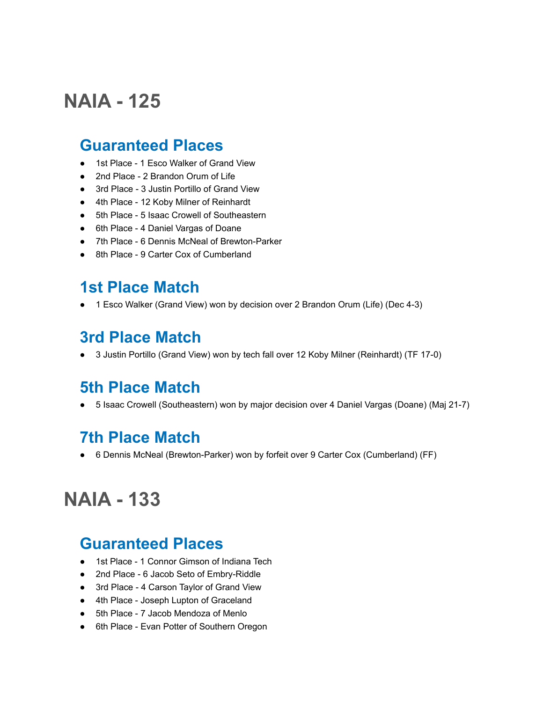# **NAIA - 125**

#### **Guaranteed Places**

- 1st Place 1 Esco Walker of Grand View
- 2nd Place 2 Brandon Orum of Life
- 3rd Place 3 Justin Portillo of Grand View
- 4th Place 12 Koby Milner of Reinhardt
- 5th Place 5 Isaac Crowell of Southeastern
- 6th Place 4 Daniel Vargas of Doane
- 7th Place 6 Dennis McNeal of Brewton-Parker
- 8th Place 9 Carter Cox of Cumberland

#### **1st Place Match**

● 1 Esco Walker (Grand View) won by decision over 2 Brandon Orum (Life) (Dec 4-3)

### **3rd Place Match**

● 3 Justin Portillo (Grand View) won by tech fall over 12 Koby Milner (Reinhardt) (TF 17-0)

### **5th Place Match**

● 5 Isaac Crowell (Southeastern) won by major decision over 4 Daniel Vargas (Doane) (Maj 21-7)

### **7th Place Match**

● 6 Dennis McNeal (Brewton-Parker) won by forfeit over 9 Carter Cox (Cumberland) (FF)

# **NAIA - 133**

#### **Guaranteed Places**

- 1st Place 1 Connor Gimson of Indiana Tech
- 2nd Place 6 Jacob Seto of Embry-Riddle
- 3rd Place 4 Carson Taylor of Grand View
- 4th Place Joseph Lupton of Graceland
- 5th Place 7 Jacob Mendoza of Menlo
- 6th Place Evan Potter of Southern Oregon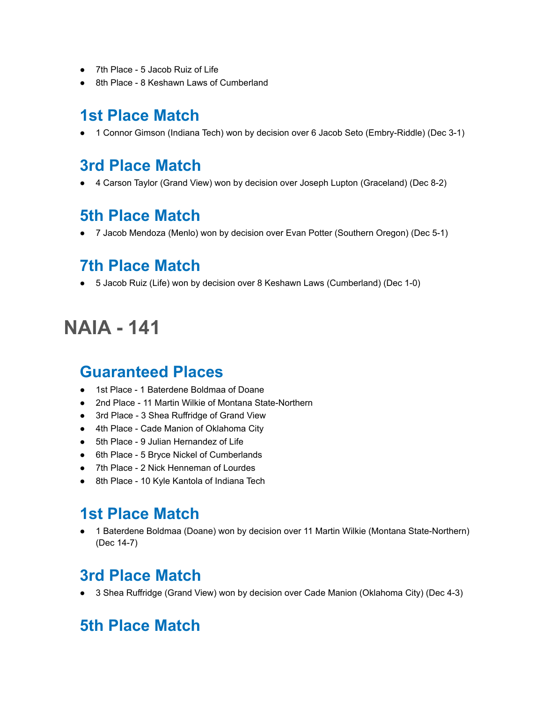- 7th Place 5 Jacob Ruiz of Life
- 8th Place 8 Keshawn Laws of Cumberland

## **1st Place Match**

● 1 Connor Gimson (Indiana Tech) won by decision over 6 Jacob Seto (Embry-Riddle) (Dec 3-1)

### **3rd Place Match**

● 4 Carson Taylor (Grand View) won by decision over Joseph Lupton (Graceland) (Dec 8-2)

### **5th Place Match**

● 7 Jacob Mendoza (Menlo) won by decision over Evan Potter (Southern Oregon) (Dec 5-1)

### **7th Place Match**

● 5 Jacob Ruiz (Life) won by decision over 8 Keshawn Laws (Cumberland) (Dec 1-0)

# **NAIA - 141**

#### **Guaranteed Places**

- 1st Place 1 Baterdene Boldmaa of Doane
- 2nd Place 11 Martin Wilkie of Montana State-Northern
- 3rd Place 3 Shea Ruffridge of Grand View
- 4th Place Cade Manion of Oklahoma City
- 5th Place 9 Julian Hernandez of Life
- 6th Place 5 Bryce Nickel of Cumberlands
- 7th Place 2 Nick Henneman of Lourdes
- 8th Place 10 Kyle Kantola of Indiana Tech

## **1st Place Match**

● 1 Baterdene Boldmaa (Doane) won by decision over 11 Martin Wilkie (Montana State-Northern) (Dec 14-7)

## **3rd Place Match**

● 3 Shea Ruffridge (Grand View) won by decision over Cade Manion (Oklahoma City) (Dec 4-3)

## **5th Place Match**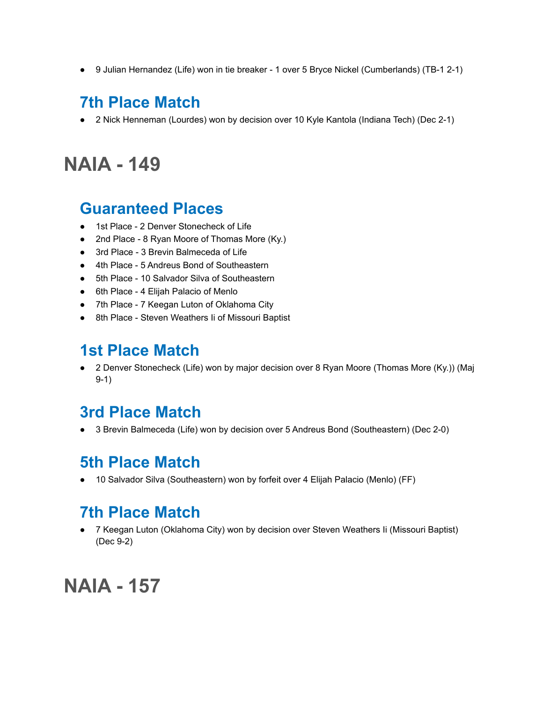● 9 Julian Hernandez (Life) won in tie breaker - 1 over 5 Bryce Nickel (Cumberlands) (TB-1 2-1)

## **7th Place Match**

● 2 Nick Henneman (Lourdes) won by decision over 10 Kyle Kantola (Indiana Tech) (Dec 2-1)

# **NAIA - 149**

#### **Guaranteed Places**

- 1st Place 2 Denver Stonecheck of Life
- 2nd Place 8 Ryan Moore of Thomas More (Ky.)
- 3rd Place 3 Brevin Balmeceda of Life
- 4th Place 5 Andreus Bond of Southeastern
- 5th Place 10 Salvador Silva of Southeastern
- 6th Place 4 Elijah Palacio of Menlo
- 7th Place 7 Keegan Luton of Oklahoma City
- 8th Place Steven Weathers Ii of Missouri Baptist

## **1st Place Match**

● 2 Denver Stonecheck (Life) won by major decision over 8 Ryan Moore (Thomas More (Ky.)) (Maj 9-1)

### **3rd Place Match**

● 3 Brevin Balmeceda (Life) won by decision over 5 Andreus Bond (Southeastern) (Dec 2-0)

### **5th Place Match**

● 10 Salvador Silva (Southeastern) won by forfeit over 4 Elijah Palacio (Menlo) (FF)

## **7th Place Match**

● 7 Keegan Luton (Oklahoma City) won by decision over Steven Weathers Ii (Missouri Baptist) (Dec 9-2)

## **NAIA - 157**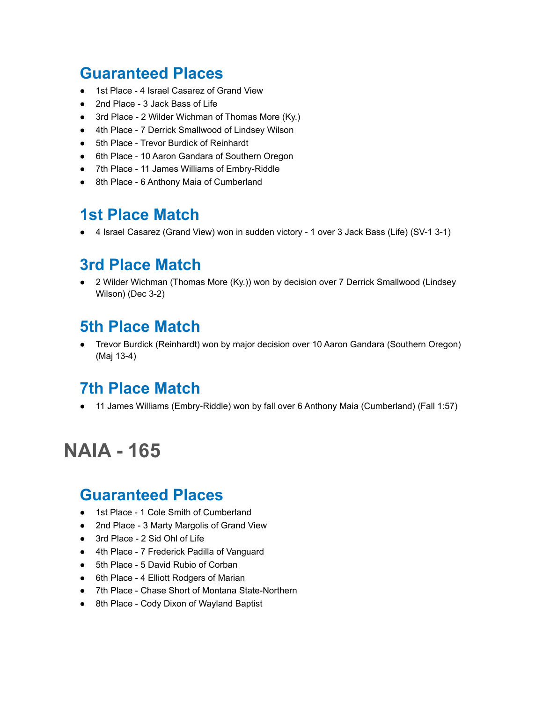## **Guaranteed Places**

- 1st Place 4 Israel Casarez of Grand View
- 2nd Place 3 Jack Bass of Life
- 3rd Place 2 Wilder Wichman of Thomas More (Ky.)
- 4th Place 7 Derrick Smallwood of Lindsey Wilson
- 5th Place Trevor Burdick of Reinhardt
- 6th Place 10 Aaron Gandara of Southern Oregon
- 7th Place 11 James Williams of Embry-Riddle
- 8th Place 6 Anthony Maia of Cumberland

### **1st Place Match**

● 4 Israel Casarez (Grand View) won in sudden victory - 1 over 3 Jack Bass (Life) (SV-1 3-1)

### **3rd Place Match**

● 2 Wilder Wichman (Thomas More (Ky.)) won by decision over 7 Derrick Smallwood (Lindsey Wilson) (Dec 3-2)

## **5th Place Match**

● Trevor Burdick (Reinhardt) won by major decision over 10 Aaron Gandara (Southern Oregon) (Maj 13-4)

### **7th Place Match**

● 11 James Williams (Embry-Riddle) won by fall over 6 Anthony Maia (Cumberland) (Fall 1:57)

# **NAIA - 165**

#### **Guaranteed Places**

- 1st Place 1 Cole Smith of Cumberland
- 2nd Place 3 Marty Margolis of Grand View
- 3rd Place 2 Sid Ohl of Life
- 4th Place 7 Frederick Padilla of Vanguard
- 5th Place 5 David Rubio of Corban
- 6th Place 4 Elliott Rodgers of Marian
- 7th Place Chase Short of Montana State-Northern
- 8th Place Cody Dixon of Wayland Baptist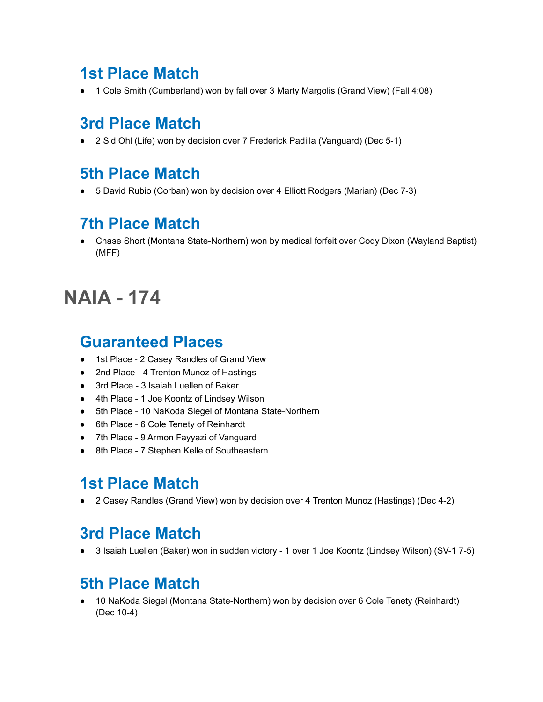## **1st Place Match**

● 1 Cole Smith (Cumberland) won by fall over 3 Marty Margolis (Grand View) (Fall 4:08)

## **3rd Place Match**

● 2 Sid Ohl (Life) won by decision over 7 Frederick Padilla (Vanguard) (Dec 5-1)

## **5th Place Match**

● 5 David Rubio (Corban) won by decision over 4 Elliott Rodgers (Marian) (Dec 7-3)

## **7th Place Match**

● Chase Short (Montana State-Northern) won by medical forfeit over Cody Dixon (Wayland Baptist) (MFF)

# **NAIA - 174**

#### **Guaranteed Places**

- 1st Place 2 Casey Randles of Grand View
- 2nd Place 4 Trenton Munoz of Hastings
- 3rd Place 3 Isaiah Luellen of Baker
- 4th Place 1 Joe Koontz of Lindsey Wilson
- 5th Place 10 NaKoda Siegel of Montana State-Northern
- 6th Place 6 Cole Tenety of Reinhardt
- 7th Place 9 Armon Fayyazi of Vanguard
- 8th Place 7 Stephen Kelle of Southeastern

### **1st Place Match**

● 2 Casey Randles (Grand View) won by decision over 4 Trenton Munoz (Hastings) (Dec 4-2)

## **3rd Place Match**

● 3 Isaiah Luellen (Baker) won in sudden victory - 1 over 1 Joe Koontz (Lindsey Wilson) (SV-1 7-5)

## **5th Place Match**

10 NaKoda Siegel (Montana State-Northern) won by decision over 6 Cole Tenety (Reinhardt) (Dec 10-4)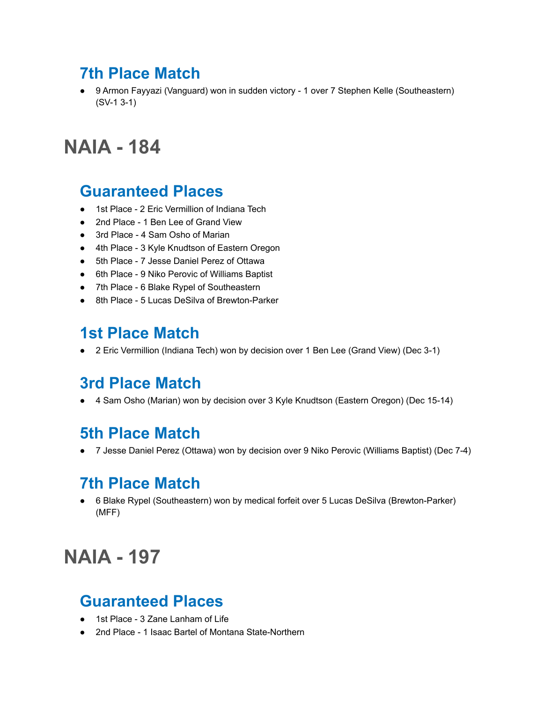## **7th Place Match**

● 9 Armon Fayyazi (Vanguard) won in sudden victory - 1 over 7 Stephen Kelle (Southeastern) (SV-1 3-1)

# **NAIA - 184**

#### **Guaranteed Places**

- 1st Place 2 Eric Vermillion of Indiana Tech
- 2nd Place 1 Ben Lee of Grand View
- 3rd Place 4 Sam Osho of Marian
- 4th Place 3 Kyle Knudtson of Eastern Oregon
- 5th Place 7 Jesse Daniel Perez of Ottawa
- 6th Place 9 Niko Perovic of Williams Baptist
- 7th Place 6 Blake Rypel of Southeastern
- 8th Place 5 Lucas DeSilva of Brewton-Parker

## **1st Place Match**

● 2 Eric Vermillion (Indiana Tech) won by decision over 1 Ben Lee (Grand View) (Dec 3-1)

### **3rd Place Match**

● 4 Sam Osho (Marian) won by decision over 3 Kyle Knudtson (Eastern Oregon) (Dec 15-14)

### **5th Place Match**

● 7 Jesse Daniel Perez (Ottawa) won by decision over 9 Niko Perovic (Williams Baptist) (Dec 7-4)

### **7th Place Match**

● 6 Blake Rypel (Southeastern) won by medical forfeit over 5 Lucas DeSilva (Brewton-Parker) (MFF)

# **NAIA - 197**

### **Guaranteed Places**

- 1st Place 3 Zane Lanham of Life
- 2nd Place 1 Isaac Bartel of Montana State-Northern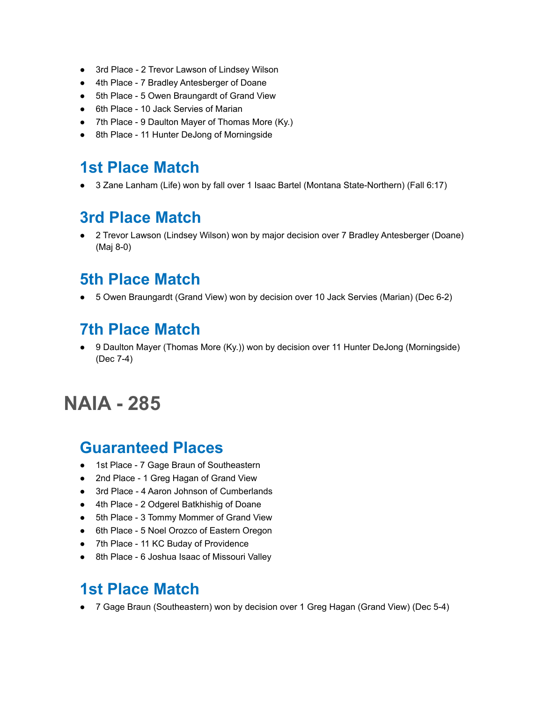- 3rd Place 2 Trevor Lawson of Lindsey Wilson
- 4th Place 7 Bradley Antesberger of Doane
- 5th Place 5 Owen Braungardt of Grand View
- 6th Place 10 Jack Servies of Marian
- 7th Place 9 Daulton Mayer of Thomas More (Ky.)
- 8th Place 11 Hunter DeJong of Morningside

#### **1st Place Match**

● 3 Zane Lanham (Life) won by fall over 1 Isaac Bartel (Montana State-Northern) (Fall 6:17)

### **3rd Place Match**

● 2 Trevor Lawson (Lindsey Wilson) won by major decision over 7 Bradley Antesberger (Doane) (Maj 8-0)

### **5th Place Match**

● 5 Owen Braungardt (Grand View) won by decision over 10 Jack Servies (Marian) (Dec 6-2)

## **7th Place Match**

9 Daulton Mayer (Thomas More (Ky.)) won by decision over 11 Hunter DeJong (Morningside) (Dec 7-4)

# **NAIA - 285**

#### **Guaranteed Places**

- 1st Place 7 Gage Braun of Southeastern
- 2nd Place 1 Greg Hagan of Grand View
- 3rd Place 4 Aaron Johnson of Cumberlands
- 4th Place 2 Odgerel Batkhishig of Doane
- 5th Place 3 Tommy Mommer of Grand View
- 6th Place 5 Noel Orozco of Eastern Oregon
- 7th Place 11 KC Buday of Providence
- 8th Place 6 Joshua Isaac of Missouri Valley

## **1st Place Match**

● 7 Gage Braun (Southeastern) won by decision over 1 Greg Hagan (Grand View) (Dec 5-4)